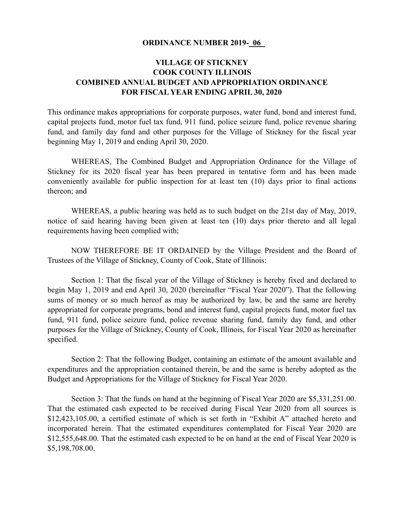#### **ORDINANCE NUMBER 2019- 06**

### **VILLAGE OF STICKNEY COOK COUNTY ILLINOIS COMBINED ANNUAL BUDGET AND APPROPRIATION ORDINANCE FOR FISCAL YEAR ENDING APRIL 30, 2020**

This ordinance makes appropriations for corporate purposes, water fund, bond and interest fund, capital projects fund, motor fuel tax fund, 911 fund, police seizure fund, police revenue sharing fund, and family day fund and other purposes for the Village of Stickney for the fiscal year beginning May 1, 2019 and ending April 30, 2020.

 WHEREAS, The Combined Budget and Appropriation Ordinance for the Village of Stickney for its 2020 fiscal year has been prepared in tentative form and has been made conveniently available for public inspection for at least ten (10) days prior to final actions thereon; and

 WHEREAS, a public hearing was held as to such budget on the 21st day of May, 2019, notice of said hearing having been given at least ten (10) days prior thereto and all legal requirements having been complied with;

 NOW THEREFORE BE IT ORDAINED by the Village President and the Board of Trustees of the Village of Stickney, County of Cook, State of Illinois:

 Section 1: That the fiscal year of the Village of Stickney is hereby fixed and declared to begin May 1, 2019 and end April 30, 2020 (hereinafter "Fiscal Year 2020"). That the following sums of money or so much hereof as may be authorized by law, be and the same are hereby appropriated for corporate programs, bond and interest fund, capital projects fund, motor fuel tax fund, 911 fund, police seizure fund, police revenue sharing fund, family day fund, and other purposes for the Village of Stickney, County of Cook, Illinois, for Fiscal Year 2020 as hereinafter specified.

 Section 2: That the following Budget, containing an estimate of the amount available and expenditures and the appropriation contained therein, be and the same is hereby adopted as the Budget and Appropriations for the Village of Stickney for Fiscal Year 2020.

 Section 3: That the funds on hand at the beginning of Fiscal Year 2020 are \$5,331,251.00. That the estimated cash expected to be received during Fiscal Year 2020 from all sources is \$12,423,105.00, a certified estimate of which is set forth in "Exhibit A" attached hereto and incorporated herein. That the estimated expenditures contemplated for Fiscal Year 2020 are \$12,555,648.00. That the estimated cash expected to be on hand at the end of Fiscal Year 2020 is \$5,198,708.00.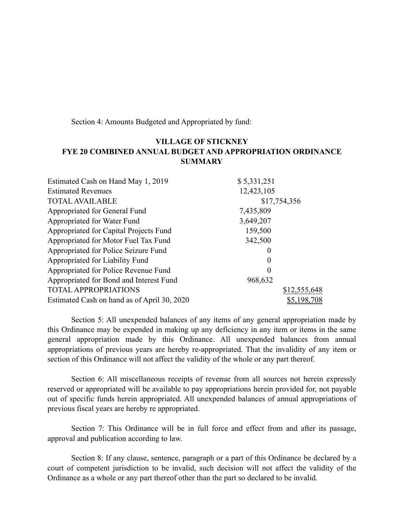Section 4: Amounts Budgeted and Appropriated by fund:

### **VILLAGE OF STICKNEY FYE 20 COMBINED ANNUAL BUDGET AND APPROPRIATION ORDINANCE SUMMARY**

| Estimated Cash on Hand May 1, 2019          | \$5,331,251  |
|---------------------------------------------|--------------|
| <b>Estimated Revenues</b>                   | 12,423,105   |
| <b>TOTAL AVAILABLE</b>                      | \$17,754,356 |
| Appropriated for General Fund               | 7,435,809    |
| Appropriated for Water Fund                 | 3,649,207    |
| Appropriated for Capital Projects Fund      | 159,500      |
| Appropriated for Motor Fuel Tax Fund        | 342,500      |
| Appropriated for Police Seizure Fund        | $\theta$     |
| Appropriated for Liability Fund             | $\Omega$     |
| Appropriated for Police Revenue Fund        | 0            |
| Appropriated for Bond and Interest Fund     | 968,632      |
| <b>TOTAL APPROPRIATIONS</b>                 | \$12,555,648 |
| Estimated Cash on hand as of April 30, 2020 | \$5,198,708  |

 Section 5: All unexpended balances of any items of any general appropriation made by this Ordinance may be expended in making up any deficiency in any item or items in the same general appropriation made by this Ordinance. All unexpended balances from annual appropriations of previous years are hereby re-appropriated. That the invalidity of any item or section of this Ordinance will not affect the validity of the whole or any part thereof.

 Section 6: All miscellaneous receipts of revenue from all sources not herein expressly reserved or appropriated will be available to pay appropriations herein provided for, not payable out of specific funds herein appropriated. All unexpended balances of annual appropriations of previous fiscal years are hereby re appropriated.

 Section 7: This Ordinance will be in full force and effect from and after its passage, approval and publication according to law.

 Section 8: If any clause, sentence, paragraph or a part of this Ordinance be declared by a court of competent jurisdiction to be invalid, such decision will not affect the validity of the Ordinance as a whole or any part thereof other than the part so declared to be invalid.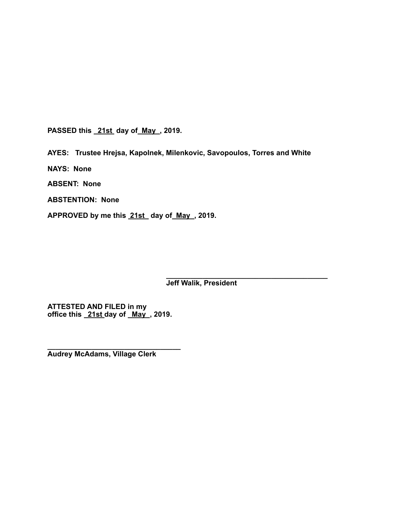**PASSED this 21st day of May , 2019.**

**AYES: Trustee Hrejsa, Kapolnek, Milenkovic, Savopoulos, Torres and White** 

**NAYS: None** 

**ABSENT: None** 

**ABSTENTION: None** 

**APPROVED by me this 21st day of May , 2019.** 

**\_\_\_\_\_\_\_\_\_\_\_\_\_\_\_\_\_\_\_\_\_\_\_\_\_\_\_\_\_\_\_\_\_\_\_\_\_\_\_\_ Jeff Walik, President** 

**ATTESTED AND FILED in my office this 21st day of May , 2019.** 

**\_\_\_\_\_\_\_\_\_\_\_\_\_\_\_\_\_\_\_\_\_\_\_\_\_\_\_\_\_\_\_\_\_ Audrey McAdams, Village Clerk**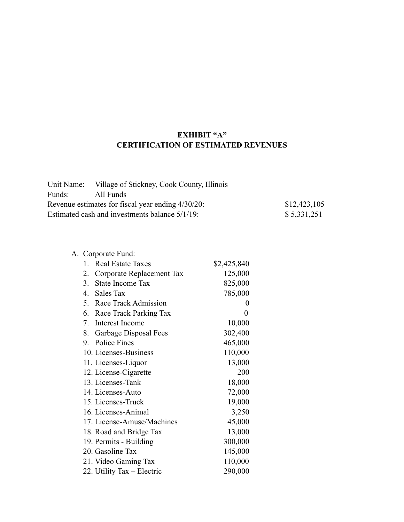## **EXHIBIT "A" CERTIFICATION OF ESTIMATED REVENUES**

| Unit Name: | Village of Stickney, Cook County, Illinois        |              |
|------------|---------------------------------------------------|--------------|
| Funds:     | All Funds                                         |              |
|            | Revenue estimates for fiscal year ending 4/30/20: | \$12,423,105 |
|            | Estimated cash and investments balance 5/1/19:    | \$5,331,251  |

|  | A. Corporate Fund: |  |
|--|--------------------|--|
|  |                    |  |

| \$2,425,840    |
|----------------|
| 125,000        |
| 825,000        |
| 785,000        |
| 0              |
| $\overline{0}$ |
| 10,000         |
| 302,400        |
| 465,000        |
| 110,000        |
| 13,000         |
| 200            |
| 18,000         |
| 72,000         |
| 19,000         |
| 3,250          |
| 45,000         |
| 13,000         |
| 300,000        |
| 145,000        |
| 110,000        |
| 290,000        |
|                |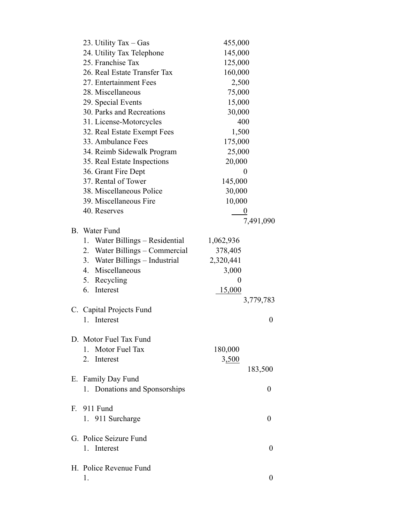|    | 23. Utility Tax – Gas              | 455,000          |
|----|------------------------------------|------------------|
|    | 24. Utility Tax Telephone          | 145,000          |
|    | 25. Franchise Tax                  | 125,000          |
|    | 26. Real Estate Transfer Tax       | 160,000          |
|    | 27. Entertainment Fees             | 2,500            |
|    | 28. Miscellaneous                  | 75,000           |
|    | 29. Special Events                 | 15,000           |
|    | 30. Parks and Recreations          | 30,000           |
|    | 31. License-Motorcycles            | 400              |
|    | 32. Real Estate Exempt Fees        | 1,500            |
|    | 33. Ambulance Fees                 | 175,000          |
|    | 34. Reimb Sidewalk Program         | 25,000           |
|    | 35. Real Estate Inspections        | 20,000           |
|    | 36. Grant Fire Dept                | $\theta$         |
|    | 37. Rental of Tower                | 145,000          |
|    | 38. Miscellaneous Police           | 30,000           |
|    | 39. Miscellaneous Fire             | 10,000           |
|    | 40. Reserves                       | $\boldsymbol{0}$ |
|    |                                    | 7,491,090        |
|    | B. Water Fund                      |                  |
|    | Water Billings – Residential<br>L. | 1,062,936        |
|    | 2. Water Billings – Commercial     | 378,405          |
|    | 3. Water Billings - Industrial     | 2,320,441        |
|    | 4. Miscellaneous                   | 3,000            |
|    | 5. Recycling                       | 0                |
|    | 6. Interest                        | 15,000           |
|    |                                    | 3,779,783        |
|    | C. Capital Projects Fund           |                  |
|    | 1. Interest                        | $\theta$         |
|    |                                    |                  |
|    | D. Motor Fuel Tax Fund             |                  |
|    | Motor Fuel Tax<br>$\mathbf{1}$     | 180,000          |
|    | Interest<br>2.                     | 3,500            |
|    |                                    | 183,500          |
|    | E. Family Day Fund                 |                  |
|    | 1. Donations and Sponsorships      | 0                |
|    |                                    |                  |
| F. | 911 Fund                           |                  |
|    | 1. 911 Surcharge                   | 0                |
|    |                                    |                  |
|    | G. Police Seizure Fund             |                  |
|    | Interest<br>$1_{-}$                | $\theta$         |
|    |                                    |                  |
|    | H. Police Revenue Fund             |                  |
|    | 1.                                 | $\theta$         |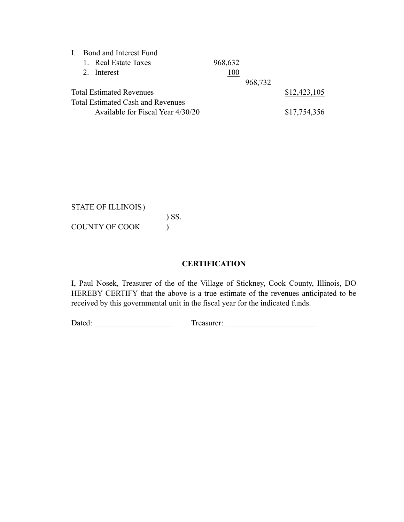| $\mathbf{I}$ | <b>Bond and Interest Fund</b>            |         |         |              |
|--------------|------------------------------------------|---------|---------|--------------|
|              | 1. Real Estate Taxes                     | 968,632 |         |              |
|              | 2. Interest                              | 100     |         |              |
|              |                                          |         | 968,732 |              |
|              | <b>Total Estimated Revenues</b>          |         |         | \$12,423,105 |
|              | <b>Total Estimated Cash and Revenues</b> |         |         |              |
|              | Available for Fiscal Year 4/30/20        |         |         | \$17,754,356 |

STATE OF ILLINOIS ) ) SS. COUNTY OF COOK (

#### **CERTIFICATION**

I, Paul Nosek, Treasurer of the of the Village of Stickney, Cook County, Illinois, DO HEREBY CERTIFY that the above is a true estimate of the revenues anticipated to be received by this governmental unit in the fiscal year for the indicated funds.

Dated: \_\_\_\_\_\_\_\_\_\_\_\_\_\_\_\_\_\_\_\_ Treasurer: \_\_\_\_\_\_\_\_\_\_\_\_\_\_\_\_\_\_\_\_\_\_\_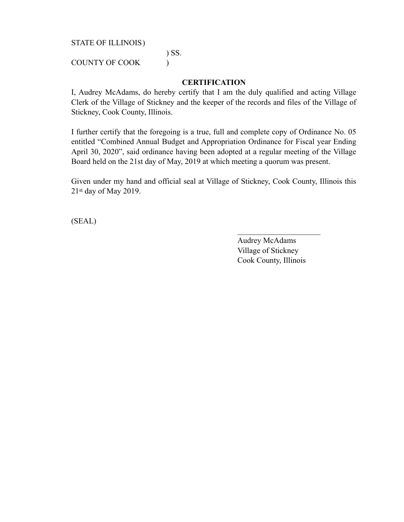STATE OF ILLINOIS )

) SS.

COUNTY OF COOK (1)

#### **CERTIFICATION**

I, Audrey McAdams, do hereby certify that I am the duly qualified and acting Village Clerk of the Village of Stickney and the keeper of the records and files of the Village of Stickney, Cook County, Illinois.

I further certify that the foregoing is a true, full and complete copy of Ordinance No. 05 entitled "Combined Annual Budget and Appropriation Ordinance for Fiscal year Ending April 30, 2020", said ordinance having been adopted at a regular meeting of the Village Board held on the 21st day of May, 2019 at which meeting a quorum was present.

Given under my hand and official seal at Village of Stickney, Cook County, Illinois this 21st day of May 2019.

 $\mathcal{L}_\text{max}$  and  $\mathcal{L}_\text{max}$  are the set of the set of the set of the set of the set of the set of the set of the set of the set of the set of the set of the set of the set of the set of the set of the set of the set o

(SEAL)

 Audrey McAdams Village of Stickney Cook County, Illinois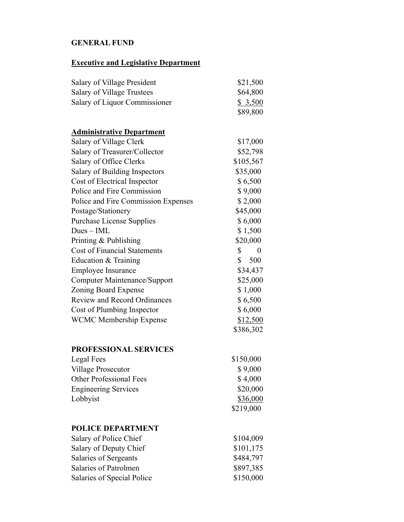## **GENERAL FUND**

# **Executive and Legislative Department**

| Salary of Village President         | \$21,500               |
|-------------------------------------|------------------------|
| <b>Salary of Village Trustees</b>   | \$64,800               |
| Salary of Liquor Commissioner       | \$3,500                |
|                                     | \$89,800               |
| <b>Administrative Department</b>    |                        |
| Salary of Village Clerk             | \$17,000               |
| Salary of Treasurer/Collector       | \$52,798               |
| Salary of Office Clerks             | \$105,567              |
| Salary of Building Inspectors       | \$35,000               |
| Cost of Electrical Inspector        | \$6,500                |
| Police and Fire Commission          | \$9,000                |
| Police and Fire Commission Expenses | \$2,000                |
| Postage/Stationery                  | \$45,000               |
| <b>Purchase License Supplies</b>    | \$6,000                |
| $Dues - IML$                        | \$1,500                |
| Printing & Publishing               | \$20,000               |
| <b>Cost of Financial Statements</b> | \$<br>$\boldsymbol{0}$ |
| Education & Training                | \$500                  |
| Employee Insurance                  | \$34,437               |
| <b>Computer Maintenance/Support</b> | \$25,000               |
| Zoning Board Expense                | \$1,000                |
| <b>Review and Record Ordinances</b> | \$6,500                |
| Cost of Plumbing Inspector          | \$6,000                |
| <b>WCMC Membership Expense</b>      | \$12,500               |
|                                     | \$386,302              |
| <b>PROFESSIONAL SERVICES</b>        |                        |
| Legal Fees                          | \$150,000              |
| <b>Village Prosecutor</b>           | \$9,000                |
| <b>Other Professional Fees</b>      | \$4,000                |
| <b>Engineering Services</b>         | \$20,000               |
| Lobbyist                            | \$36,000               |
|                                     | \$219,000              |
| <b>POLICE DEPARTMENT</b>            |                        |
| Salary of Police Chief              | \$104,009              |
| Salary of Deputy Chief              | \$101,175              |
| Salaries of Sergeants               | \$484,797              |
| Salaries of Patrolmen               | \$897,385              |
| Salaries of Special Police          | \$150,000              |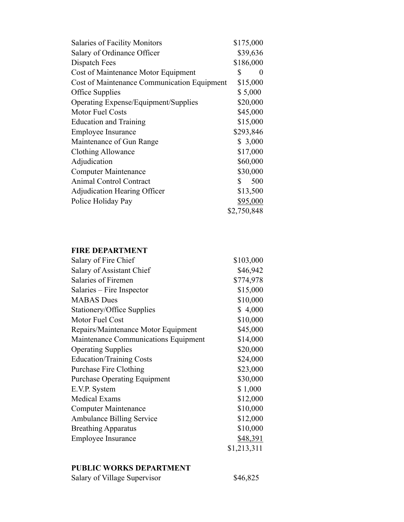| <b>Salaries of Facility Monitors</b>        | \$175,000   |
|---------------------------------------------|-------------|
| Salary of Ordinance Officer                 | \$39,636    |
| Dispatch Fees                               | \$186,000   |
| Cost of Maintenance Motor Equipment         | \$<br>0     |
| Cost of Maintenance Communication Equipment | \$15,000    |
| Office Supplies                             | \$5,000     |
| Operating Expense/Equipment/Supplies        | \$20,000    |
| Motor Fuel Costs                            | \$45,000    |
| <b>Education and Training</b>               | \$15,000    |
| <b>Employee Insurance</b>                   | \$293,846   |
| Maintenance of Gun Range                    | \$3,000     |
| Clothing Allowance                          | \$17,000    |
| Adjudication                                | \$60,000    |
| <b>Computer Maintenance</b>                 | \$30,000    |
| Animal Control Contract                     | 500<br>\$   |
| <b>Adjudication Hearing Officer</b>         | \$13,500    |
| Police Holiday Pay                          | \$95,000    |
|                                             | \$2,750,848 |

#### **FIRE DEPARTMENT**

| Salary of Fire Chief                 | \$103,000   |
|--------------------------------------|-------------|
| Salary of Assistant Chief            | \$46,942    |
| Salaries of Firemen                  | \$774,978   |
| Salaries – Fire Inspector            | \$15,000    |
| <b>MABAS</b> Dues                    | \$10,000    |
| <b>Stationery/Office Supplies</b>    | \$4,000     |
| Motor Fuel Cost                      | \$10,000    |
| Repairs/Maintenance Motor Equipment  | \$45,000    |
| Maintenance Communications Equipment | \$14,000    |
| <b>Operating Supplies</b>            | \$20,000    |
| <b>Education/Training Costs</b>      | \$24,000    |
| Purchase Fire Clothing               | \$23,000    |
| <b>Purchase Operating Equipment</b>  | \$30,000    |
| E.V.P. System                        | \$1,000     |
| <b>Medical Exams</b>                 | \$12,000    |
| <b>Computer Maintenance</b>          | \$10,000    |
| <b>Ambulance Billing Service</b>     | \$12,000    |
| <b>Breathing Apparatus</b>           | \$10,000    |
| <b>Employee Insurance</b>            | \$48,391    |
|                                      | \$1,213,311 |
|                                      |             |

#### **PUBLIC WORKS DEPARTMENT**

| Salary of Village Supervisor | \$46,825 |
|------------------------------|----------|
|------------------------------|----------|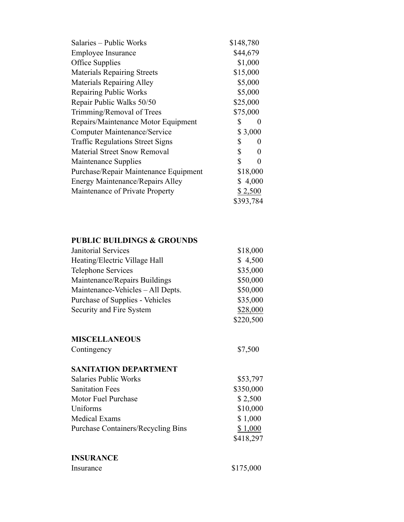| \$148,780     |
|---------------|
| \$44,679      |
| \$1,000       |
| \$15,000      |
| \$5,000       |
| \$5,000       |
| \$25,000      |
| \$75,000      |
| S<br>$\theta$ |
| \$3,000       |
| \$<br>0       |
| \$<br>0       |
| \$<br>0       |
| \$18,000      |
| \$4,000       |
| \$2,500       |
| \$393,784     |
|               |

## **PUBLIC BUILDINGS & GROUNDS**

| Janitorial Services               | \$18,000  |
|-----------------------------------|-----------|
| Heating/Electric Village Hall     | \$4,500   |
| <b>Telephone Services</b>         | \$35,000  |
| Maintenance/Repairs Buildings     | \$50,000  |
| Maintenance-Vehicles - All Depts. | \$50,000  |
| Purchase of Supplies - Vehicles   | \$35,000  |
| Security and Fire System          | \$28,000  |
|                                   | \$220,500 |
|                                   |           |

#### **MISCELLANEOUS**

| Contingency |
|-------------|
|-------------|

\$7,500

### **SANITATION DEPARTMENT**

| <b>Salaries Public Works</b>              | \$53,797  |
|-------------------------------------------|-----------|
| <b>Sanitation Fees</b>                    | \$350,000 |
| Motor Fuel Purchase                       | \$2,500   |
| Uniforms                                  | \$10,000  |
| <b>Medical Exams</b>                      | \$1,000   |
| <b>Purchase Containers/Recycling Bins</b> | \$1,000   |
|                                           | \$418,297 |
|                                           |           |

# **INSURANCE**

| Insurance | \$175,000 |
|-----------|-----------|
|           |           |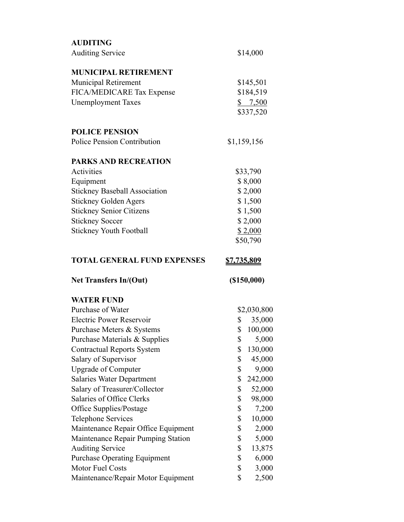| <b>AUDITING</b>                      |                                                              |
|--------------------------------------|--------------------------------------------------------------|
| <b>Auditing Service</b>              | \$14,000                                                     |
| <b>MUNICIPAL RETIREMENT</b>          |                                                              |
| <b>Municipal Retirement</b>          | \$145,501                                                    |
| FICA/MEDICARE Tax Expense            | \$184,519                                                    |
| <b>Unemployment Taxes</b>            | $\frac{1}{2}$ , $\frac{7}{2}$ , $\frac{500}{2}$<br>\$337,520 |
| <b>POLICE PENSION</b>                |                                                              |
| Police Pension Contribution          | \$1,159,156                                                  |
| <b>PARKS AND RECREATION</b>          |                                                              |
| Activities                           | \$33,790                                                     |
| Equipment                            | \$8,000                                                      |
| <b>Stickney Baseball Association</b> | \$2,000                                                      |
| <b>Stickney Golden Agers</b>         | \$1,500                                                      |
| <b>Stickney Senior Citizens</b>      | \$1,500                                                      |
| <b>Stickney Soccer</b>               | \$2,000                                                      |
| <b>Stickney Youth Football</b>       | \$2,000                                                      |
|                                      | \$50,790                                                     |
| <b>TOTAL GENERAL FUND EXPENSES</b>   | <u>\$7,735,809</u>                                           |
| <b>Net Transfers In/(Out)</b>        | $($ \$150,000 $)$                                            |
| <b>WATER FUND</b>                    |                                                              |
| Purchase of Water                    | \$2,030,800                                                  |
| <b>Electric Power Reservoir</b>      | 35,000<br>\$                                                 |
| Purchase Meters & Systems            | \$<br>100,000                                                |
| Purchase Materials & Supplies        | \$<br>5,000                                                  |
| <b>Contractual Reports System</b>    | \$<br>130,000                                                |
| Salary of Supervisor                 | \$<br>45,000                                                 |
| <b>Upgrade of Computer</b>           | \$<br>9,000                                                  |
| <b>Salaries Water Department</b>     | \$<br>242,000                                                |
| Salary of Treasurer/Collector        | \$<br>52,000                                                 |
| Salaries of Office Clerks            | \$<br>98,000                                                 |
| Office Supplies/Postage              | \$<br>7,200                                                  |
| <b>Telephone Services</b>            | \$<br>10,000                                                 |
| Maintenance Repair Office Equipment  | \$<br>2,000                                                  |
| Maintenance Repair Pumping Station   | \$<br>5,000                                                  |
| <b>Auditing Service</b>              | \$<br>13,875                                                 |
| <b>Purchase Operating Equipment</b>  | \$<br>6,000                                                  |
|                                      |                                                              |
| Motor Fuel Costs                     | \$<br>3,000<br>\$                                            |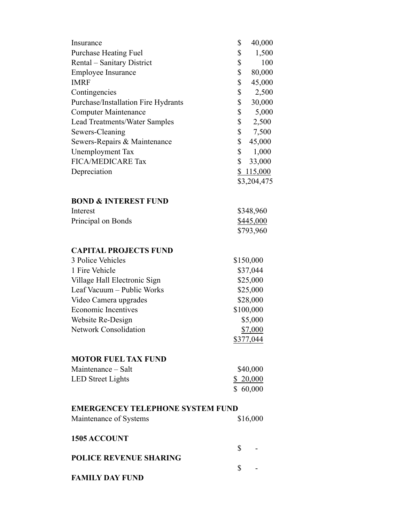| \$<br><b>Purchase Heating Fuel</b><br>\$<br>Rental - Sanitary District<br>\$<br><b>Employee Insurance</b><br>\$<br><b>IMRF</b><br>\$<br>Contingencies<br>\$<br>Purchase/Installation Fire Hydrants<br>\$<br><b>Computer Maintenance</b><br>\$<br>Lead Treatments/Water Samples<br>\$<br>Sewers-Cleaning<br>\$<br>Sewers-Repairs & Maintenance<br>45,000<br>\$<br><b>Unemployment Tax</b> | 1,500<br>100<br>80,000<br>45,000<br>2,500<br>30,000<br>5,000<br>2,500<br>7,500 |
|------------------------------------------------------------------------------------------------------------------------------------------------------------------------------------------------------------------------------------------------------------------------------------------------------------------------------------------------------------------------------------------|--------------------------------------------------------------------------------|
|                                                                                                                                                                                                                                                                                                                                                                                          |                                                                                |
|                                                                                                                                                                                                                                                                                                                                                                                          |                                                                                |
|                                                                                                                                                                                                                                                                                                                                                                                          |                                                                                |
|                                                                                                                                                                                                                                                                                                                                                                                          |                                                                                |
|                                                                                                                                                                                                                                                                                                                                                                                          |                                                                                |
|                                                                                                                                                                                                                                                                                                                                                                                          |                                                                                |
|                                                                                                                                                                                                                                                                                                                                                                                          |                                                                                |
|                                                                                                                                                                                                                                                                                                                                                                                          |                                                                                |
|                                                                                                                                                                                                                                                                                                                                                                                          |                                                                                |
|                                                                                                                                                                                                                                                                                                                                                                                          |                                                                                |
|                                                                                                                                                                                                                                                                                                                                                                                          | 1,000                                                                          |
| \$<br><b>FICA/MEDICARE Tax</b><br>33,000                                                                                                                                                                                                                                                                                                                                                 |                                                                                |
| Depreciation<br>\$115,000                                                                                                                                                                                                                                                                                                                                                                |                                                                                |
| \$3,204,475                                                                                                                                                                                                                                                                                                                                                                              |                                                                                |
| <b>BOND &amp; INTEREST FUND</b>                                                                                                                                                                                                                                                                                                                                                          |                                                                                |
| Interest<br>\$348,960                                                                                                                                                                                                                                                                                                                                                                    |                                                                                |
| Principal on Bonds<br>\$445,000                                                                                                                                                                                                                                                                                                                                                          |                                                                                |
| \$793,960                                                                                                                                                                                                                                                                                                                                                                                |                                                                                |
| <b>CAPITAL PROJECTS FUND</b>                                                                                                                                                                                                                                                                                                                                                             |                                                                                |
| 3 Police Vehicles<br>\$150,000                                                                                                                                                                                                                                                                                                                                                           |                                                                                |
| 1 Fire Vehicle<br>\$37,044                                                                                                                                                                                                                                                                                                                                                               |                                                                                |
| \$25,000<br>Village Hall Electronic Sign                                                                                                                                                                                                                                                                                                                                                 |                                                                                |
| Leaf Vacuum - Public Works<br>\$25,000                                                                                                                                                                                                                                                                                                                                                   |                                                                                |
| \$28,000<br>Video Camera upgrades                                                                                                                                                                                                                                                                                                                                                        |                                                                                |
| <b>Economic Incentives</b><br>\$100,000                                                                                                                                                                                                                                                                                                                                                  |                                                                                |
| \$5,000<br>Website Re-Design                                                                                                                                                                                                                                                                                                                                                             |                                                                                |
| <b>Network Consolidation</b><br>\$7,000                                                                                                                                                                                                                                                                                                                                                  |                                                                                |
| \$377,044                                                                                                                                                                                                                                                                                                                                                                                |                                                                                |
| <b>MOTOR FUEL TAX FUND</b>                                                                                                                                                                                                                                                                                                                                                               |                                                                                |
| Maintenance – Salt<br>\$40,000                                                                                                                                                                                                                                                                                                                                                           |                                                                                |
| <b>LED</b> Street Lights<br>\$20,000                                                                                                                                                                                                                                                                                                                                                     |                                                                                |
| \$60,000                                                                                                                                                                                                                                                                                                                                                                                 |                                                                                |
| <b>EMERGENCEY TELEPHONE SYSTEM FUND</b>                                                                                                                                                                                                                                                                                                                                                  |                                                                                |
| Maintenance of Systems<br>\$16,000                                                                                                                                                                                                                                                                                                                                                       |                                                                                |
| 1505 ACCOUNT                                                                                                                                                                                                                                                                                                                                                                             |                                                                                |
| \$                                                                                                                                                                                                                                                                                                                                                                                       |                                                                                |
| <b>POLICE REVENUE SHARING</b>                                                                                                                                                                                                                                                                                                                                                            |                                                                                |
| $\mathbb{S}$                                                                                                                                                                                                                                                                                                                                                                             |                                                                                |
| <b>FAMILY DAY FUND</b>                                                                                                                                                                                                                                                                                                                                                                   |                                                                                |